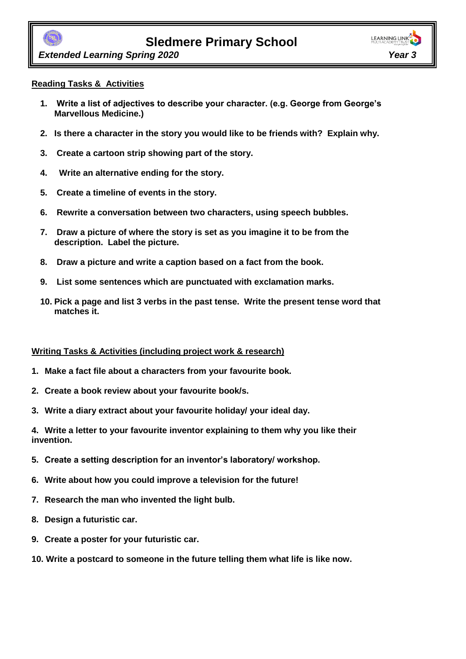

 *Extended Learning Spring 2020 Year 3*

#### **Reading Tasks & Activities**

- **1. Write a list of adjectives to describe your character. (e.g. George from George's Marvellous Medicine.)**
- **2. Is there a character in the story you would like to be friends with? Explain why.**
- **3. Create a cartoon strip showing part of the story.**
- **4. Write an alternative ending for the story.**
- **5. Create a timeline of events in the story.**
- **6. Rewrite a conversation between two characters, using speech bubbles.**
- **7. Draw a picture of where the story is set as you imagine it to be from the description. Label the picture.**
- **8. Draw a picture and write a caption based on a fact from the book.**
- **9. List some sentences which are punctuated with exclamation marks.**
- **10. Pick a page and list 3 verbs in the past tense. Write the present tense word that matches it.**

#### **Writing Tasks & Activities (including project work & research)**

- **1. Make a fact file about a characters from your favourite book.**
- **2. Create a book review about your favourite book/s.**
- **3. Write a diary extract about your favourite holiday/ your ideal day.**

**4. Write a letter to your favourite inventor explaining to them why you like their invention.** 

- **5. Create a setting description for an inventor's laboratory/ workshop.**
- **6. Write about how you could improve a television for the future!**
- **7. Research the man who invented the light bulb.**
- **8. Design a futuristic car.**
- **9. Create a poster for your futuristic car.**
- **10. Write a postcard to someone in the future telling them what life is like now.**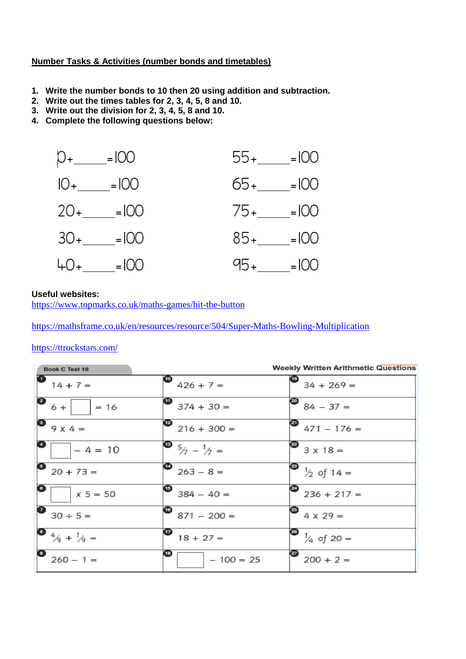#### **Number Tasks & Activities (number bonds and timetables)**

- **1. Write the number bonds to 10 then 20 using addition and subtraction.**
- **2. Write out the times tables for 2, 3, 4, 5, 8 and 10.**
- **3. Write out the division for 2, 3, 4, 5, 8 and 10.**
- **4. Complete the following questions below:**



#### **Useful websites:**

<https://www.topmarks.co.uk/maths-games/hit-the-button>

<https://mathsframe.co.uk/en/resources/resource/504/Super-Maths-Bowling-Multiplication>

#### <https://ttrockstars.com/>

| <b>Book C Test 18</b>                                |                                                   | <b>Weekly Written Arithmetic Questions</b> |
|------------------------------------------------------|---------------------------------------------------|--------------------------------------------|
| $14 + 7 =$                                           | $\bullet$ 426 + 7 =                               | $\bullet$ 34 + 269 =                       |
| $\begin{bmatrix} 2 & 6 \\ 6 & -1 \end{bmatrix}$ = 16 | $\bullet$ 374 + 30 =                              | $\bullet$ 84 - 37 =                        |
| $9x4=$                                               | $216 + 300 =$                                     | $\bullet$ 471 – 176 =                      |
| $-4 = 10$                                            | $\begin{bmatrix} 3 & 5/7 - 1/7 = 1 \end{bmatrix}$ | $\bullet$ 3 x 18 =                         |
| $20 + 73 =$                                          | $\frac{6}{263-8}$                                 | $\bigotimes$ $\frac{1}{2}$ of 14 =         |
| $x 5 = 50$                                           | $384 - 40 =$                                      | $\bullet$ 236 + 217 =                      |
| $30 \div 5 =$                                        | $\bullet$ 871 – 200 =                             | $4 \times 29 =$                            |
| $\bullet$ 4/ <sub>9</sub> + 1/ <sub>9</sub> =        | $18 + 27 =$                                       | $\bigotimes$ $\frac{1}{4}$ of 20 =         |
| $260 - 1 =$                                          | $-100 = 25$                                       | $200 + 2 =$                                |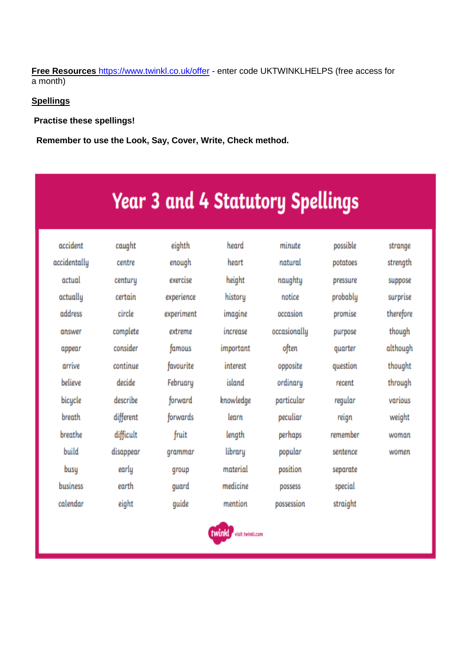**Free Resources** <https://www.twinkl.co.uk/offer> - enter code UKTWINKLHELPS (free access for a month)

#### **Spellings**

**Practise these spellings!**

 **Remember to use the Look, Say, Cover, Write, Check method.** 

# **Year 3 and 4 Statutory Spellings**

| accident     | caught    | eighth     | heard                   | minute       | possible | strange   |
|--------------|-----------|------------|-------------------------|--------------|----------|-----------|
| accidentally | centre    | enough     | heart                   | natural      | potatoes | strength  |
| actual       | century   | exercise   | height                  | naughty      | pressure | suppose   |
| actually     | certain   | experience | history                 | notice       | probably | surprise  |
| address      | circle    | experiment | imagine                 | occasion     | promise  | therefore |
| answer       | complete  | extreme    | increase                | occasionally | purpose  | though    |
| appear       | consider  | famous     | important               | often        | quarter  | although  |
| arrive       | continue  | favourite  | interest                | opposite     | question | thought   |
| believe      | decide    | February   | island                  | ordinary     | recent   | through   |
| bicycle      | describe  | forward    | knowledge               | particular   | regular  | various   |
| breath       | different | forwards   | learn                   | peculiar     | reign    | weight    |
| breathe      | difficult | fruit      | length                  | perhaps      | remember | woman     |
| build        | disappear | grammar    | library                 | popular      | sentence | women     |
| busy         | early     | group      | material                | position     | separate |           |
| business     | earth     | quard      | medicine                | possess      | special  |           |
| calendar     | eight     | guide      | mention                 | possession   | straight |           |
|              |           |            | twinkl visit twinkl.com |              |          |           |